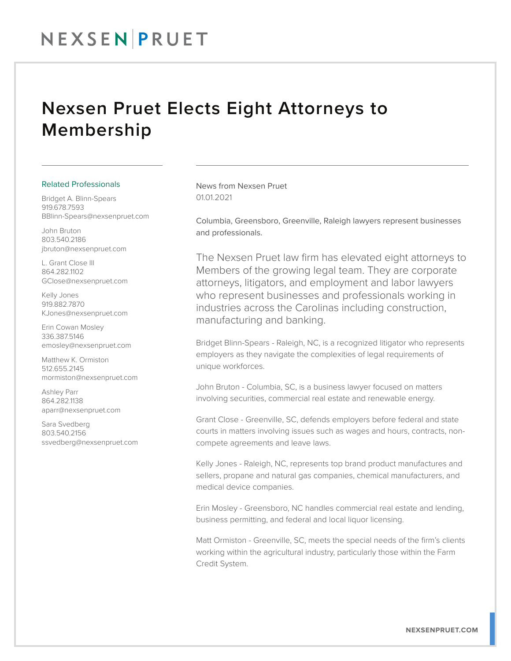## NEXSEN PRUET

## Nexsen Pruet Elects Eight Attorneys to Membership

## Related Professionals

Bridget A. Blinn-Spears 919.678.7593 BBlinn-Spears@nexsenpruet.com

John Bruton 803.540.2186 jbruton@nexsenpruet.com

L. Grant Close III 864.282.1102 GClose@nexsenpruet.com

Kelly Jones 919.882.7870 KJones@nexsenpruet.com

Erin Cowan Mosley 336.387.5146 emosley@nexsenpruet.com

Matthew K. Ormiston 512.655.2145 mormiston@nexsenpruet.com

Ashley Parr 864.282.1138 aparr@nexsenpruet.com

Sara Svedberg 803.540.2156 ssvedberg@nexsenpruet.com News from Nexsen Pruet 01.01.2021

Columbia, Greensboro, Greenville, Raleigh lawyers represent businesses and professionals.

The Nexsen Pruet law firm has elevated eight attorneys to Members of the growing legal team. They are corporate attorneys, litigators, and employment and labor lawyers who represent businesses and professionals working in industries across the Carolinas including construction, manufacturing and banking.

Bridget Blinn-Spears - Raleigh, NC, is a recognized litigator who represents employers as they navigate the complexities of legal requirements of unique workforces.

John Bruton - Columbia, SC, is a business lawyer focused on matters involving securities, commercial real estate and renewable energy.

Grant Close - Greenville, SC, defends employers before federal and state courts in matters involving issues such as wages and hours, contracts, noncompete agreements and leave laws.

Kelly Jones - Raleigh, NC, represents top brand product manufactures and sellers, propane and natural gas companies, chemical manufacturers, and medical device companies.

Erin Mosley - Greensboro, NC handles commercial real estate and lending, business permitting, and federal and local liquor licensing.

Matt Ormiston - Greenville, SC, meets the special needs of the firm's clients working within the agricultural industry, particularly those within the Farm Credit System.